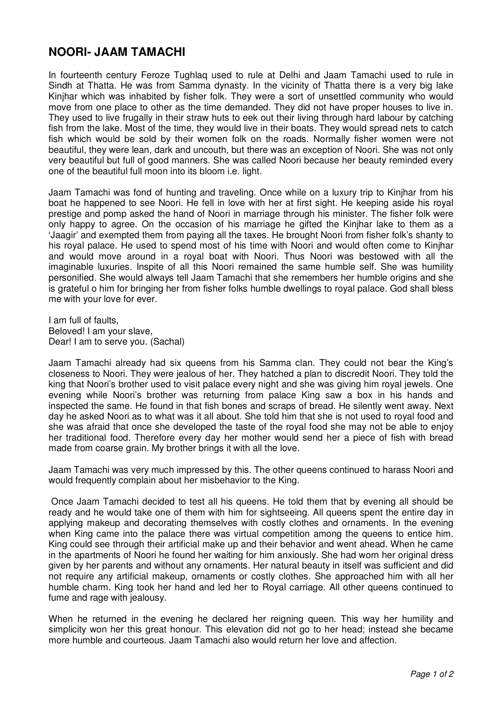## **NOORI- JAAM TAMACHI**

In fourteenth century Feroze Tughlaq used to rule at Delhi and Jaam Tamachi used to rule in Sindh at Thatta. He was from Samma dynasty. In the vicinity of Thatta there is a very big lake Kinjhar which was inhabited by fisher folk. They were a sort of unsettled community who would move from one place to other as the time demanded. They did not have proper houses to live in. They used to live frugally in their straw huts to eek out their living through hard labour by catching fish from the lake. Most of the time, they would live in their boats. They would spread nets to catch fish which would be sold by their women folk on the roads. Normally fisher women were not beautiful, they were lean, dark and uncouth, but there was an exception of Noori. She was not only very beautiful but full of good manners. She was called Noori because her beauty reminded every one of the beautiful full moon into its bloom i.e. light.

Jaam Tamachi was fond of hunting and traveling. Once while on a luxury trip to Kinjhar from his boat he happened to see Noori. He fell in love with her at first sight. He keeping aside his royal prestige and pomp asked the hand of Noori in marriage through his minister. The fisher folk were only happy to agree. On the occasion of his marriage he gifted the Kinjhar lake to them as a 'Jaagir' and exempted them from paying all the taxes. He brought Noori from fisher folk's shanty to his royal palace. He used to spend most of his time with Noori and would often come to Kinjhar and would move around in a royal boat with Noori. Thus Noori was bestowed with all the imaginable luxuries. Inspite of all this Noori remained the same humble self. She was humility personified. She would always tell Jaam Tamachi that she remembers her humble origins and she is grateful o him for bringing her from fisher folks humble dwellings to royal palace. God shall bless me with your love for ever.

I am full of faults, Beloved! I am your slave, Dear! I am to serve you. (Sachal)

Jaam Tamachi already had six queens from his Samma clan. They could not bear the King's closeness to Noori. They were jealous of her. They hatched a plan to discredit Noori. They told the king that Noori's brother used to visit palace every night and she was giving him royal jewels. One evening while Noori's brother was returning from palace King saw a box in his hands and inspected the same. He found in that fish bones and scraps of bread. He silently went away. Next day he asked Noori as to what was it all about. She told him that she is not used to royal food and she was afraid that once she developed the taste of the royal food she may not be able to enjoy her traditional food. Therefore every day her mother would send her a piece of fish with bread made from coarse grain. My brother brings it with all the love.

Jaam Tamachi was very much impressed by this. The other queens continued to harass Noori and would frequently complain about her misbehavior to the King.

 Once Jaam Tamachi decided to test all his queens. He told them that by evening all should be ready and he would take one of them with him for sightseeing. All queens spent the entire day in applying makeup and decorating themselves with costly clothes and ornaments. In the evening when King came into the palace there was virtual competition among the queens to entice him. King could see through their artificial make up and their behavior and went ahead. When he came in the apartments of Noori he found her waiting for him anxiously. She had worn her original dress given by her parents and without any ornaments. Her natural beauty in itself was sufficient and did not require any artificial makeup, ornaments or costly clothes. She approached him with all her humble charm. King took her hand and led her to Royal carriage. All other queens continued to fume and rage with jealousy.

When he returned in the evening he declared her reigning queen. This way her humility and simplicity won her this great honour. This elevation did not go to her head; instead she became more humble and courteous. Jaam Tamachi also would return her love and affection.